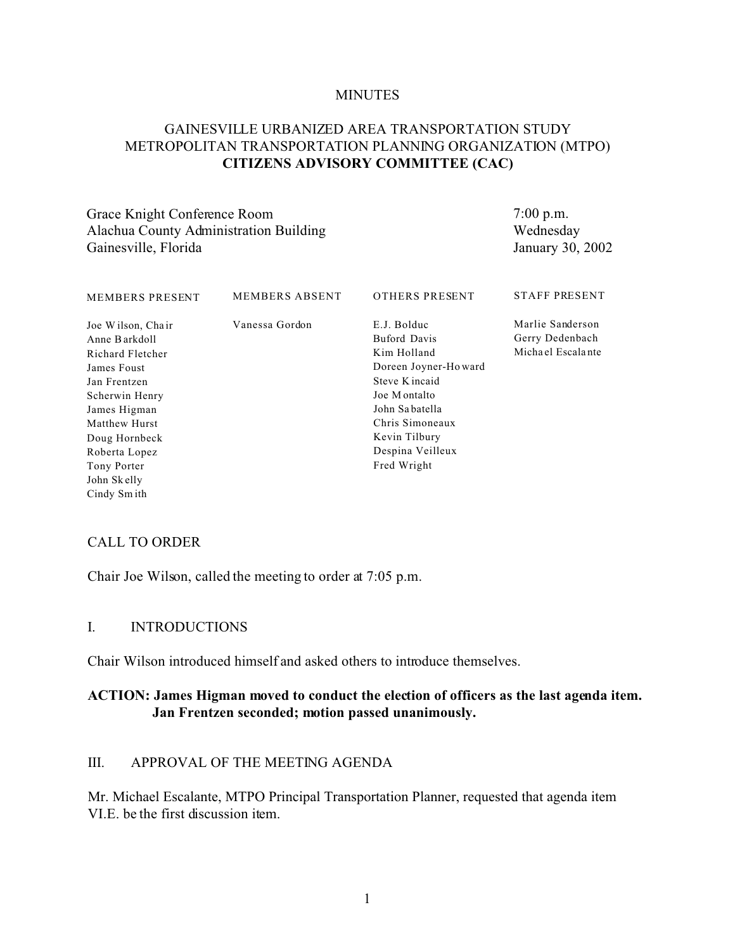#### **MINUTES**

# GAINESVILLE URBANIZED AREA TRANSPORTATION STUDY METROPOLITAN TRANSPORTATION PLANNING ORGANIZATION (MTPO) **CITIZENS ADVISORY COMMITTEE (CAC)**

Grace Knight Conference Room Alachua County Administration Building Gainesville, Florida

7:00 p.m. Wednesday January 30, 2002

| <b>MEMBERS PRESENT</b>                                                                                                                                                                                                  | <b>MEMBERS ABSENT</b> | OTHERS PRESENT                                                                                                                                                                                       | <b>STAFF PRESENT</b>                                     |
|-------------------------------------------------------------------------------------------------------------------------------------------------------------------------------------------------------------------------|-----------------------|------------------------------------------------------------------------------------------------------------------------------------------------------------------------------------------------------|----------------------------------------------------------|
| Joe Wilson, Chair<br>Anne Barkdoll<br>Richard Fletcher<br>James Foust<br>Jan Frentzen<br>Scherwin Henry<br>James Higman<br>Matthew Hurst<br>Doug Hornbeck<br>Roberta Lopez<br>Tony Porter<br>John Skelly<br>Cindy Smith | Vanessa Gordon        | E.J. Bolduc<br><b>Buford Davis</b><br>Kim Holland<br>Doreen Joyner-Howard<br>Steve K incaid<br>Joe Montalto<br>John Sabatella<br>Chris Simoneaux<br>Kevin Tilbury<br>Despina Veilleux<br>Fred Wright | Marlie Sanderson<br>Gerry Dedenbach<br>Michael Escalante |
|                                                                                                                                                                                                                         |                       |                                                                                                                                                                                                      |                                                          |

### CALL TO ORDER

Chair Joe Wilson, called the meeting to order at 7:05 p.m.

#### I. INTRODUCTIONS

Chair Wilson introduced himself and asked others to introduce themselves.

### **ACTION: James Higman moved to conduct the election of officers as the last agenda item. Jan Frentzen seconded; motion passed unanimously.**

### III. APPROVAL OF THE MEETING AGENDA

Mr. Michael Escalante, MTPO Principal Transportation Planner, requested that agenda item VI.E. be the first discussion item.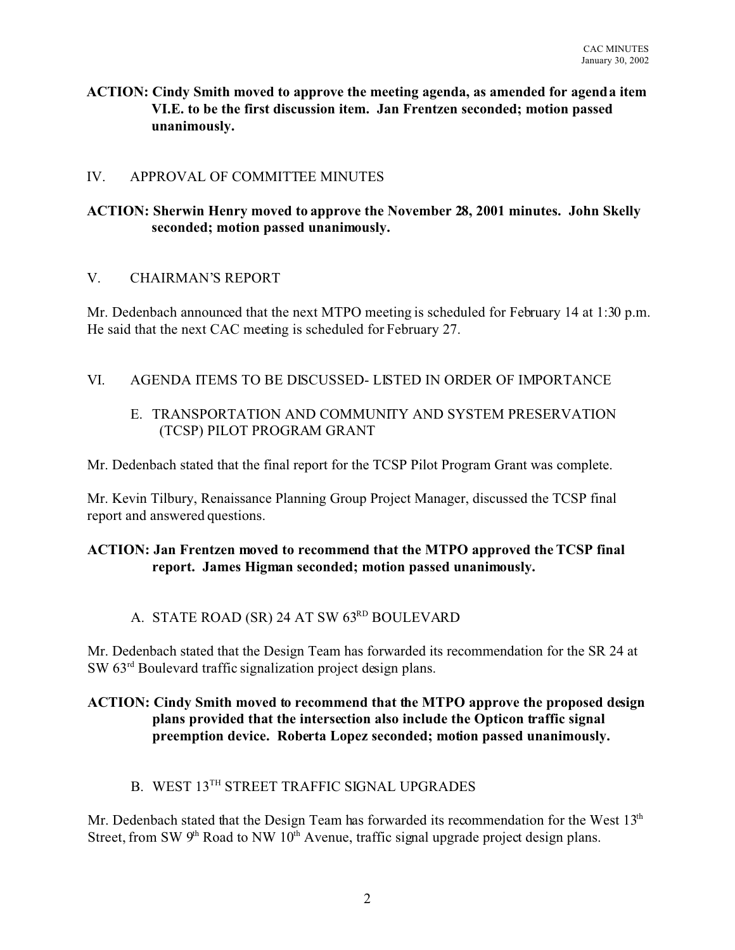**ACTION: Cindy Smith moved to approve the meeting agenda, as amended for agenda item VI.E. to be the first discussion item. Jan Frentzen seconded; motion passed unanimously.**

# IV. APPROVAL OF COMMITTEE MINUTES

# **ACTION: Sherwin Henry moved to approve the November 28, 2001 minutes. John Skelly seconded; motion passed unanimously.**

### V. CHAIRMAN'S REPORT

Mr. Dedenbach announced that the next MTPO meeting is scheduled for February 14 at 1:30 p.m. He said that the next CAC meeting is scheduled for February 27.

# VI. AGENDA ITEMS TO BE DISCUSSED- LISTED IN ORDER OF IMPORTANCE

# E. TRANSPORTATION AND COMMUNITY AND SYSTEM PRESERVATION (TCSP) PILOT PROGRAM GRANT

Mr. Dedenbach stated that the final report for the TCSP Pilot Program Grant was complete.

Mr. Kevin Tilbury, Renaissance Planning Group Project Manager, discussed the TCSP final report and answered questions.

# **ACTION: Jan Frentzen moved to recommend that the MTPO approved the TCSP final report. James Higman seconded; motion passed unanimously.**

# A. STATE ROAD (SR) 24 AT SW 63RD BOULEVARD

Mr. Dedenbach stated that the Design Team has forwarded its recommendation for the SR 24 at SW 63rd Boulevard traffic signalization project design plans.

# **ACTION: Cindy Smith moved to recommend that the MTPO approve the proposed design plans provided that the intersection also include the Opticon traffic signal preemption device. Roberta Lopez seconded; motion passed unanimously.**

# B. WEST 13TH STREET TRAFFIC SIGNAL UPGRADES

Mr. Dedenbach stated that the Design Team has forwarded its recommendation for the West  $13<sup>th</sup>$ Street, from SW  $9<sup>th</sup>$  Road to NW  $10<sup>th</sup>$  Avenue, traffic signal upgrade project design plans.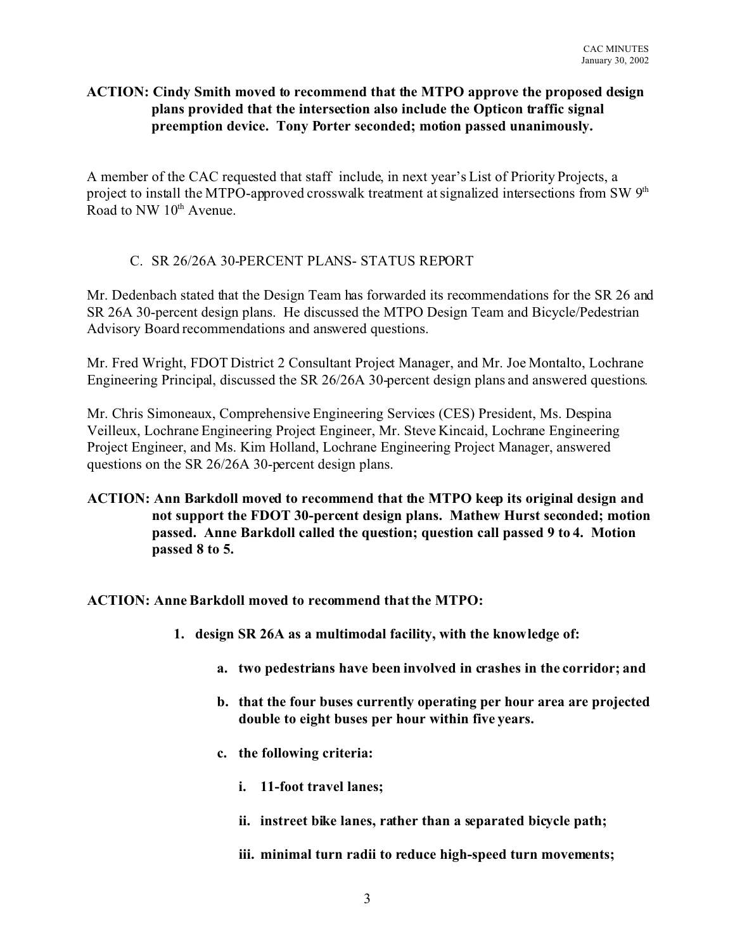# **ACTION: Cindy Smith moved to recommend that the MTPO approve the proposed design plans provided that the intersection also include the Opticon traffic signal preemption device. Tony Porter seconded; motion passed unanimously.**

A member of the CAC requested that staff include, in next year's List of Priority Projects, a project to install the MTPO-approved crosswalk treatment at signalized intersections from SW 9<sup>th</sup> Road to NW 10<sup>th</sup> Avenue.

# C. SR 26/26A 30-PERCENT PLANS- STATUS REPORT

Mr. Dedenbach stated that the Design Team has forwarded its recommendations for the SR 26 and SR 26A 30-percent design plans. He discussed the MTPO Design Team and Bicycle/Pedestrian Advisory Board recommendations and answered questions.

Mr. Fred Wright, FDOT District 2 Consultant Project Manager, and Mr. Joe Montalto, Lochrane Engineering Principal, discussed the SR 26/26A 30-percent design plans and answered questions.

Mr. Chris Simoneaux, Comprehensive Engineering Services (CES) President, Ms. Despina Veilleux, Lochrane Engineering Project Engineer, Mr. Steve Kincaid, Lochrane Engineering Project Engineer, and Ms. Kim Holland, Lochrane Engineering Project Manager, answered questions on the SR 26/26A 30-percent design plans.

# **ACTION: Ann Barkdoll moved to recommend that the MTPO keep its original design and not support the FDOT 30-percent design plans. Mathew Hurst seconded; motion passed. Anne Barkdoll called the question; question call passed 9 to 4. Motion passed 8 to 5.**

# **ACTION: Anne Barkdoll moved to recommend that the MTPO:**

- **1. design SR 26A as a multimodal facility, with the knowledge of:** 
	- **a. two pedestrians have been involved in crashes in the corridor; and**
	- **b. that the four buses currently operating per hour area are projected double to eight buses per hour within five years.**
	- **c. the following criteria:**
		- **i. 11-foot travel lanes;**
		- **ii. instreet bike lanes, rather than a separated bicycle path;**
		- **iii. minimal turn radii to reduce high-speed turn movements;**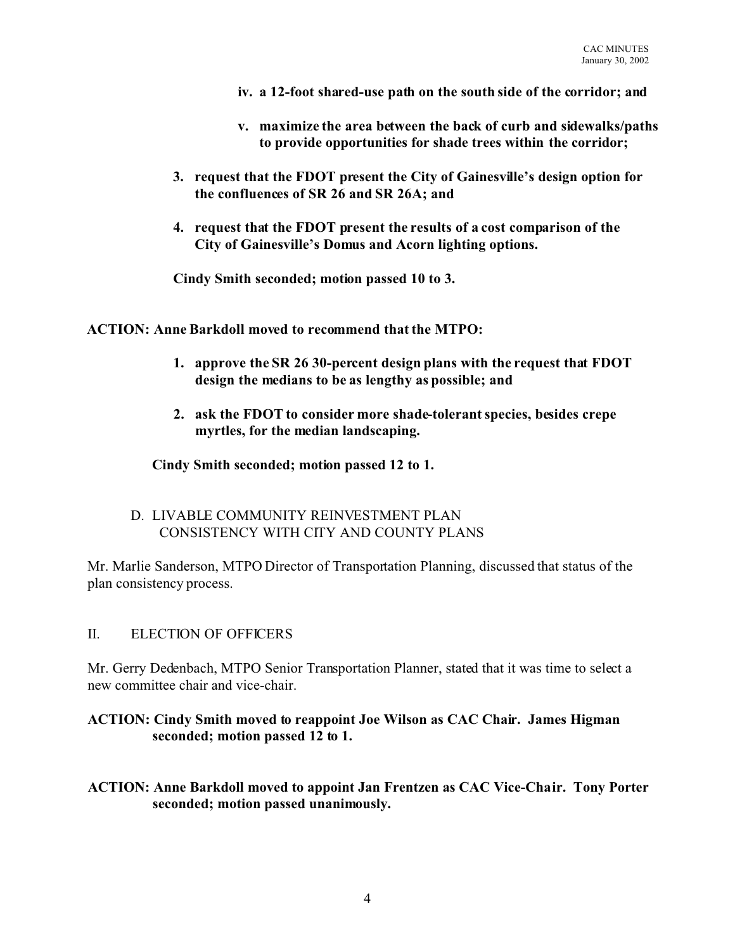- **iv. a 12-foot shared-use path on the south side of the corridor; and**
- **v. maximize the area between the back of curb and sidewalks/paths to provide opportunities for shade trees within the corridor;**
- **3. request that the FDOT present the City of Gainesville's design option for the confluences of SR 26 and SR 26A; and**
- **4. request that the FDOT present the results of a cost comparison of the City of Gainesville's Domus and Acorn lighting options.**

**Cindy Smith seconded; motion passed 10 to 3.**

**ACTION: Anne Barkdoll moved to recommend that the MTPO:**

- **1. approve the SR 26 30-percent design plans with the request that FDOT design the medians to be as lengthy as possible; and**
- **2. ask the FDOT to consider more shade-tolerant species, besides crepe myrtles, for the median landscaping.**

**Cindy Smith seconded; motion passed 12 to 1.**

D. LIVABLE COMMUNITY REINVESTMENT PLAN CONSISTENCY WITH CITY AND COUNTY PLANS

Mr. Marlie Sanderson, MTPO Director of Transportation Planning, discussed that status of the plan consistency process.

### II. ELECTION OF OFFICERS

Mr. Gerry Dedenbach, MTPO Senior Transportation Planner, stated that it was time to select a new committee chair and vice-chair.

# **ACTION: Cindy Smith moved to reappoint Joe Wilson as CAC Chair. James Higman seconded; motion passed 12 to 1.**

**ACTION: Anne Barkdoll moved to appoint Jan Frentzen as CAC Vice-Chair. Tony Porter seconded; motion passed unanimously.**